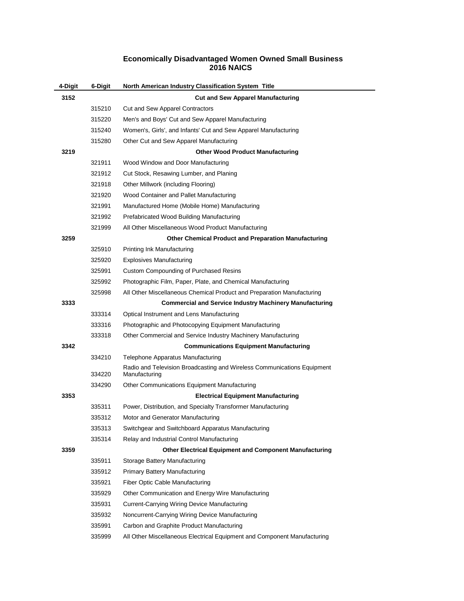## **Economically Disadvantaged Women Owned Small Business 2016 NAICS**

| 4-Digit | 6-Digit | North American Industry Classification System Title                                      |
|---------|---------|------------------------------------------------------------------------------------------|
| 3152    |         | <b>Cut and Sew Apparel Manufacturing</b>                                                 |
|         | 315210  | Cut and Sew Apparel Contractors                                                          |
|         | 315220  | Men's and Boys' Cut and Sew Apparel Manufacturing                                        |
|         | 315240  | Women's, Girls', and Infants' Cut and Sew Apparel Manufacturing                          |
|         | 315280  | Other Cut and Sew Apparel Manufacturing                                                  |
| 3219    |         | <b>Other Wood Product Manufacturing</b>                                                  |
|         | 321911  | Wood Window and Door Manufacturing                                                       |
|         | 321912  | Cut Stock, Resawing Lumber, and Planing                                                  |
|         | 321918  | Other Millwork (including Flooring)                                                      |
|         | 321920  | Wood Container and Pallet Manufacturing                                                  |
|         | 321991  | Manufactured Home (Mobile Home) Manufacturing                                            |
|         | 321992  | Prefabricated Wood Building Manufacturing                                                |
|         | 321999  | All Other Miscellaneous Wood Product Manufacturing                                       |
| 3259    |         | <b>Other Chemical Product and Preparation Manufacturing</b>                              |
|         | 325910  | Printing Ink Manufacturing                                                               |
|         | 325920  | <b>Explosives Manufacturing</b>                                                          |
|         | 325991  | <b>Custom Compounding of Purchased Resins</b>                                            |
|         | 325992  | Photographic Film, Paper, Plate, and Chemical Manufacturing                              |
|         | 325998  | All Other Miscellaneous Chemical Product and Preparation Manufacturing                   |
| 3333    |         | <b>Commercial and Service Industry Machinery Manufacturing</b>                           |
|         | 333314  | Optical Instrument and Lens Manufacturing                                                |
|         | 333316  | Photographic and Photocopying Equipment Manufacturing                                    |
|         | 333318  | Other Commercial and Service Industry Machinery Manufacturing                            |
| 3342    |         | <b>Communications Equipment Manufacturing</b>                                            |
|         | 334210  | Telephone Apparatus Manufacturing                                                        |
|         | 334220  | Radio and Television Broadcasting and Wireless Communications Equipment<br>Manufacturing |
|         | 334290  | Other Communications Equipment Manufacturing                                             |
| 3353    |         | <b>Electrical Equipment Manufacturing</b>                                                |
|         | 335311  | Power, Distribution, and Specialty Transformer Manufacturing                             |
|         | 335312  | Motor and Generator Manufacturing                                                        |
|         | 335313  | Switchgear and Switchboard Apparatus Manufacturing                                       |
|         | 335314  | Relay and Industrial Control Manufacturing                                               |
| 3359    |         | <b>Other Electrical Equipment and Component Manufacturing</b>                            |
|         | 335911  | Storage Battery Manufacturing                                                            |
|         | 335912  | <b>Primary Battery Manufacturing</b>                                                     |
|         | 335921  | Fiber Optic Cable Manufacturing                                                          |
|         | 335929  | Other Communication and Energy Wire Manufacturing                                        |
|         | 335931  | Current-Carrying Wiring Device Manufacturing                                             |
|         | 335932  | Noncurrent-Carrying Wiring Device Manufacturing                                          |
|         | 335991  | Carbon and Graphite Product Manufacturing                                                |
|         | 335999  | All Other Miscellaneous Electrical Equipment and Component Manufacturing                 |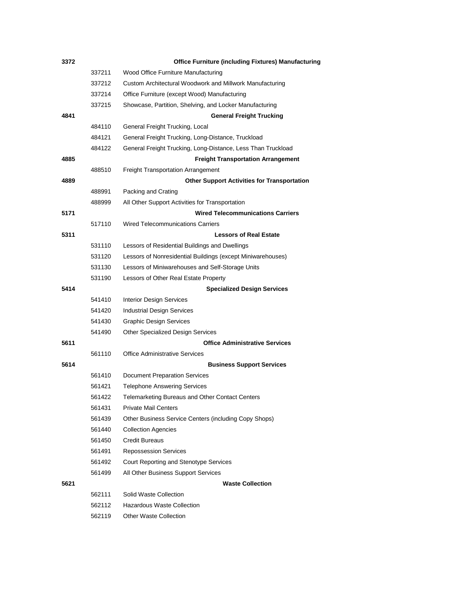| 3372 |        | <b>Office Furniture (including Fixtures) Manufacturing</b>   |
|------|--------|--------------------------------------------------------------|
|      | 337211 | Wood Office Furniture Manufacturing                          |
|      | 337212 | Custom Architectural Woodwork and Millwork Manufacturing     |
|      | 337214 | Office Furniture (except Wood) Manufacturing                 |
|      | 337215 | Showcase, Partition, Shelving, and Locker Manufacturing      |
| 4841 |        | <b>General Freight Trucking</b>                              |
|      | 484110 | General Freight Trucking, Local                              |
|      | 484121 | General Freight Trucking, Long-Distance, Truckload           |
|      | 484122 | General Freight Trucking, Long-Distance, Less Than Truckload |
| 4885 |        | <b>Freight Transportation Arrangement</b>                    |
|      | 488510 | <b>Freight Transportation Arrangement</b>                    |
| 4889 |        | <b>Other Support Activities for Transportation</b>           |
|      | 488991 | Packing and Crating                                          |
|      | 488999 | All Other Support Activities for Transportation              |
| 5171 |        | <b>Wired Telecommunications Carriers</b>                     |
|      | 517110 | <b>Wired Telecommunications Carriers</b>                     |
| 5311 |        | <b>Lessors of Real Estate</b>                                |
|      | 531110 | Lessors of Residential Buildings and Dwellings               |
|      | 531120 | Lessors of Nonresidential Buildings (except Miniwarehouses)  |
|      | 531130 | Lessors of Miniwarehouses and Self-Storage Units             |
|      | 531190 | Lessors of Other Real Estate Property                        |
| 5414 |        | <b>Specialized Design Services</b>                           |
|      | 541410 | <b>Interior Design Services</b>                              |
|      | 541420 | <b>Industrial Design Services</b>                            |
|      | 541430 | <b>Graphic Design Services</b>                               |
|      | 541490 | <b>Other Specialized Design Services</b>                     |
| 5611 |        | <b>Office Administrative Services</b>                        |
|      | 561110 | <b>Office Administrative Services</b>                        |
| 5614 |        | <b>Business Support Services</b>                             |
|      | 561410 | <b>Document Preparation Services</b>                         |
|      | 561421 | <b>Telephone Answering Services</b>                          |
|      | 561422 | <b>Telemarketing Bureaus and Other Contact Centers</b>       |
|      | 561431 | <b>Private Mail Centers</b>                                  |
|      | 561439 | Other Business Service Centers (including Copy Shops)        |
|      | 561440 | <b>Collection Agencies</b>                                   |
|      | 561450 | <b>Credit Bureaus</b>                                        |
|      | 561491 | <b>Repossession Services</b>                                 |
|      | 561492 | Court Reporting and Stenotype Services                       |
|      | 561499 | All Other Business Support Services                          |
| 5621 |        | <b>Waste Collection</b>                                      |
|      | 562111 | Solid Waste Collection                                       |
|      | 562112 | <b>Hazardous Waste Collection</b>                            |
|      | 562119 | <b>Other Waste Collection</b>                                |